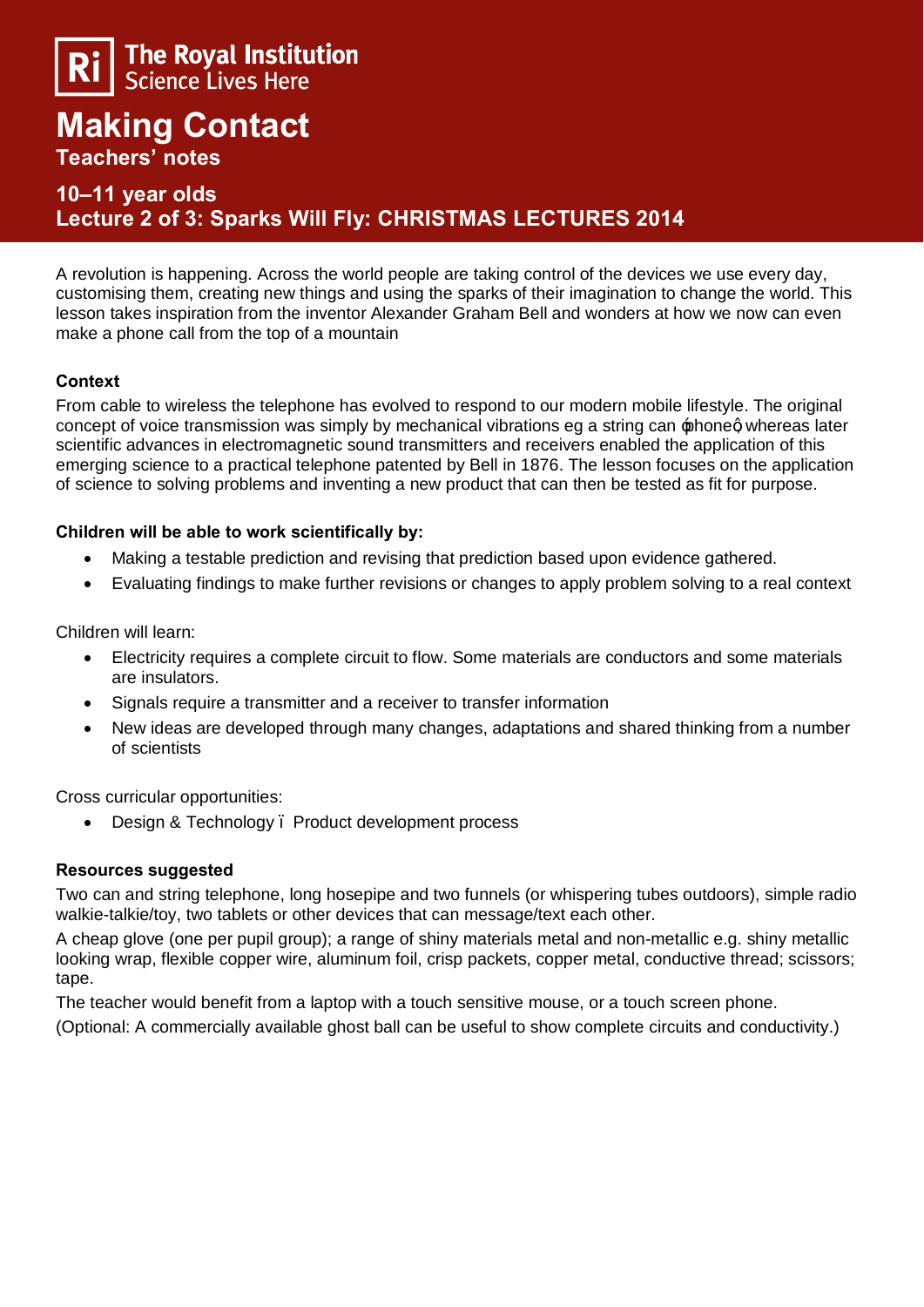

# **Making Contact Teachers' notes**

# **10–11 year olds Lecture 2 of 3: Sparks Will Fly: CHRISTMAS LECTURES 2014**

A revolution is happening. Across the world people are taking control of the devices we use every day, customising them, creating new things and using the sparks of their imagination to change the world. This lesson takes inspiration from the inventor Alexander Graham Bell and wonders at how we now can even make a phone call from the top of a mountain

# **Context**

From cable to wireless the telephone has evolved to respond to our modern mobile lifestyle. The original concept of voice transmission was simply by mechanical vibrations eg a string can  $\pm$  phoneg whereas later scientific advances in electromagnetic sound transmitters and receivers enabled the application of this emerging science to a practical telephone patented by Bell in 1876. The lesson focuses on the application of science to solving problems and inventing a new product that can then be tested as fit for purpose.

### **Children will be able to work scientifically by:**

- · Making a testable prediction and revising that prediction based upon evidence gathered.
- · Evaluating findings to make further revisions or changes to apply problem solving to a real context

Children will learn:

- · Electricity requires a complete circuit to flow. Some materials are conductors and some materials are insulators.
- · Signals require a transmitter and a receiver to transfer information
- · New ideas are developed through many changes, adaptations and shared thinking from a number of scientists

Cross curricular opportunities:

Design & Technology . Product development process

#### **Resources suggested**

Two can and string telephone, long hosepipe and two funnels (or whispering tubes outdoors), simple radio walkie-talkie/toy, two tablets or other devices that can message/text each other.

A cheap glove (one per pupil group); a range of shiny materials metal and non-metallic e.g. shiny metallic looking wrap, flexible copper wire, aluminum foil, crisp packets, copper metal, conductive thread; scissors; tape.

The teacher would benefit from a laptop with a touch sensitive mouse, or a touch screen phone. (Optional: A commercially available ghost ball can be useful to show complete circuits and conductivity.)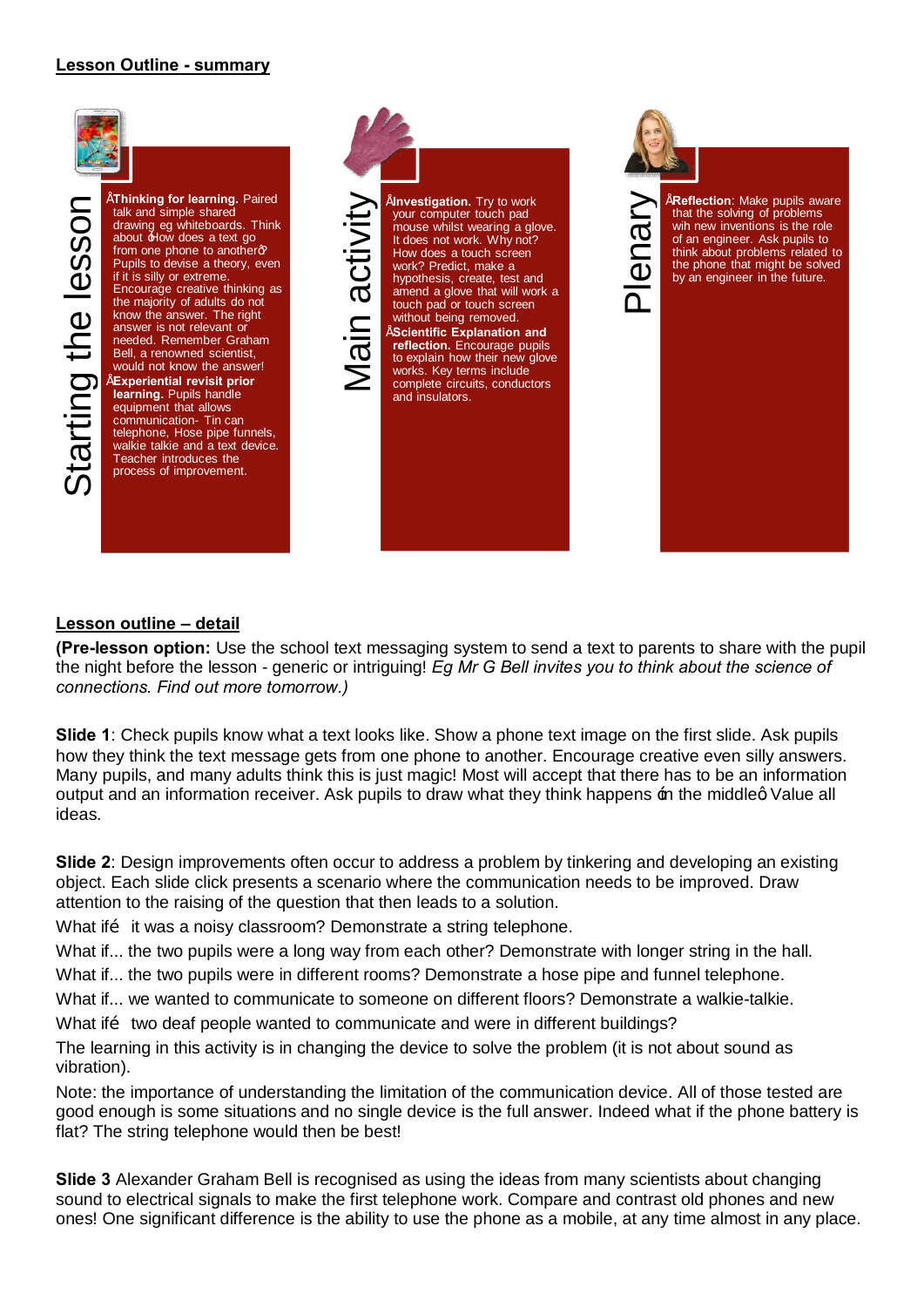#### **Lesson Outline - summary**



talk and simple shared drawing eg whiteboards. Think about  $\pm$ low does a text go from one phone to another $\alpha$ Pupils to devise a theory, even if it is silly or extreme. Encourage creative thinking as the majority of adults do not know the answer. The right answer is not relevant or needed. Remember Graham Bell, a renowned scientist, would not know the answer! • **Experiential revisit prior learning.** Pupils handle equipment that allows communication- Tin can telephone, Hose pipe funnels, walkie talkie and a text device. Teacher introduces the process of improvement.



Free Colomic Make pupils aware<br>
that the solving of problems<br>
win new inventions is the role<br>
of an engineer. Ask pupils to<br>
think about problems related to<br>
the phone that might be solved<br>
by an engineer in the future. that the solving of problems wih new inventions is the role of an engineer. Ask pupils to think about problems related to the phone that might be solved by an engineer in the future.

#### **Lesson outline – detail**

**(Pre-lesson option:** Use the school text messaging system to send a text to parents to share with the pupil the night before the lesson - generic or intriguing! *Eg Mr G Bell invites you to think about the science of connections. Find out more tomorrow.)*

**Slide 1**: Check pupils know what a text looks like. Show a phone text image on the first slide. Ask pupils how they think the text message gets from one phone to another. Encourage creative even silly answers. Many pupils, and many adults think this is just magic! Most will accept that there has to be an information output and an information receiver. Ask pupils to draw what they think happens  $\pm$ n the middleg Value all ideas.

**Slide 2:** Design improvements often occur to address a problem by tinkering and developing an existing object. Each slide click presents a scenario where the communication needs to be improved. Draw attention to the raising of the question that then leads to a solution.

What if  $\ddot{o}$  it was a noisy classroom? Demonstrate a string telephone.

What if... the two pupils were a long way from each other? Demonstrate with longer string in the hall.

What if... the two pupils were in different rooms? Demonstrate a hose pipe and funnel telephone.

What if... we wanted to communicate to someone on different floors? Demonstrate a walkie-talkie.

What if two deaf people wanted to communicate and were in different buildings?

The learning in this activity is in changing the device to solve the problem (it is not about sound as vibration).

Note: the importance of understanding the limitation of the communication device. All of those tested are good enough is some situations and no single device is the full answer. Indeed what if the phone battery is flat? The string telephone would then be best!

**Slide 3** Alexander Graham Bell is recognised as using the ideas from many scientists about changing sound to electrical signals to make the first telephone work. Compare and contrast old phones and new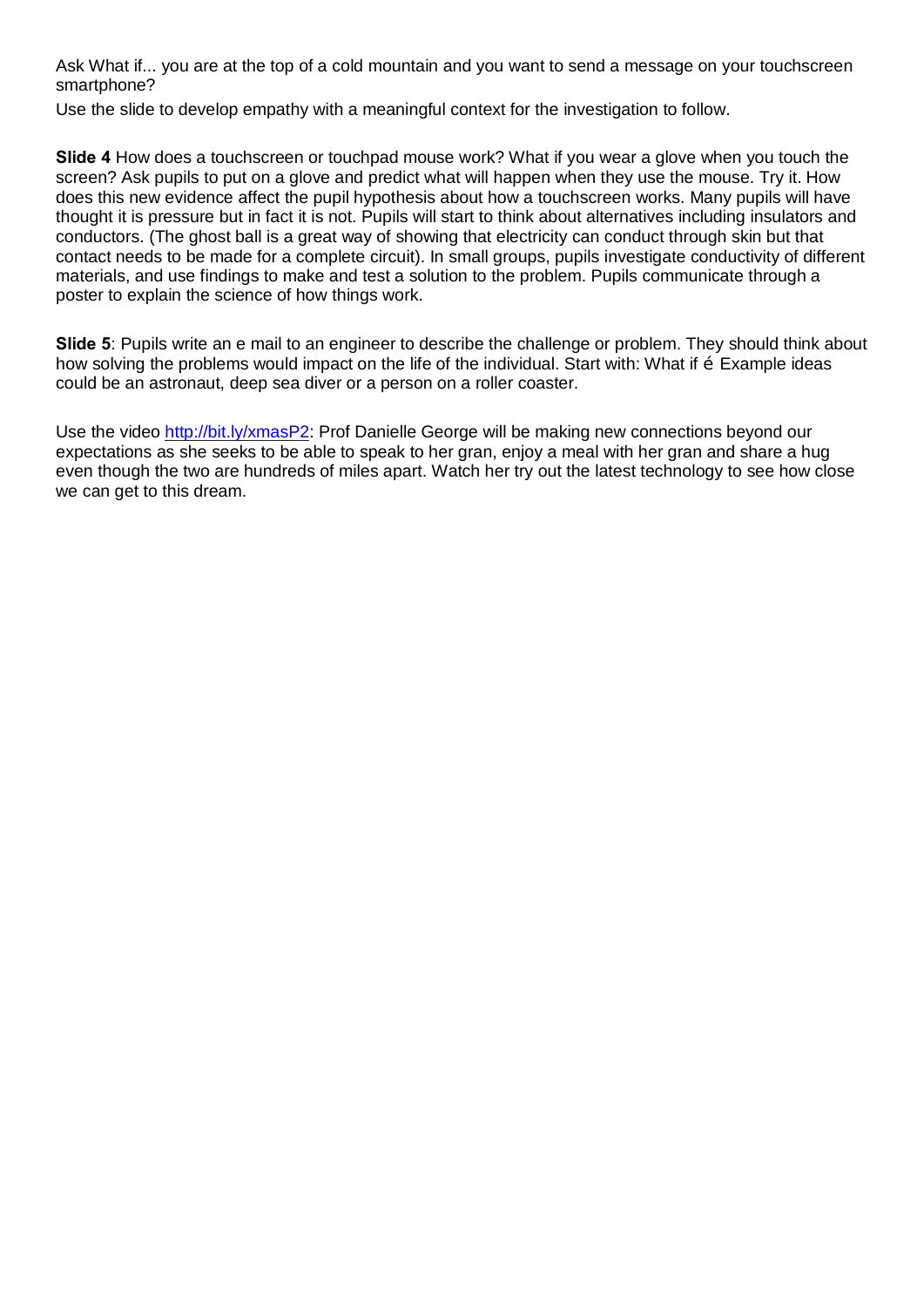Ask What if... you are at the top of a cold mountain and you want to send a message on your touchscreen smartphone?

Use the slide to develop empathy with a meaningful context for the investigation to follow.

**Slide 4** How does a touchscreen or touchpad mouse work? What if you wear a glove when you touch the screen? Ask pupils to put on a glove and predict what will happen when they use the mouse. Try it. How does this new evidence affect the pupil hypothesis about how a touchscreen works. Many pupils will have thought it is pressure but in fact it is not. Pupils will start to think about alternatives including insulators and conductors. (The ghost ball is a great way of showing that electricity can conduct through skin but that contact needs to be made for a complete circuit). In small groups, pupils investigate conductivity of different materials, and use findings to make and test a solution to the problem. Pupils communicate through a poster to explain the science of how things work.

**Slide 5**: Pupils write an e mail to an engineer to describe the challenge or problem. They should think about how solving the problems would impact on the life of the individual. Start with: What if  $\tilde{o}$  Example ideas could be an astronaut, deep sea diver or a person on a roller coaster.

Use the video http://bit.ly/xmasP2: Prof Danielle George will be making new connections beyond our expectations as she seeks to be able to speak to her gran, enjoy a meal with her gran and share a hug even though the two are hundreds of miles apart. Watch her try out the latest technology to see how close we can get to this dream.